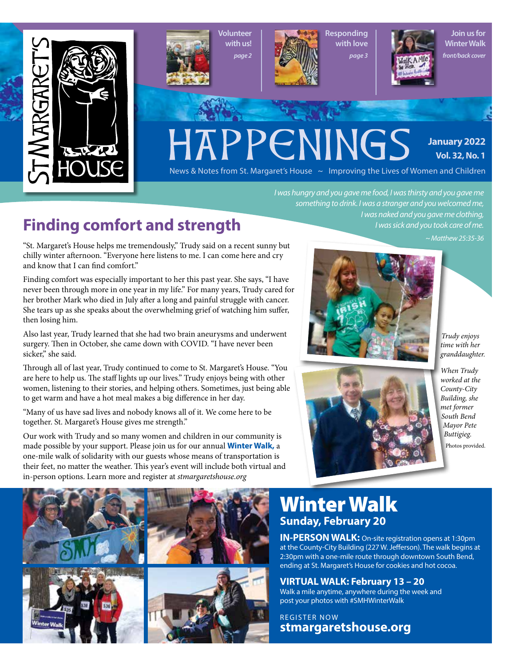

Volunteer with us! *page 2*



Responding with love *page 3*



 *I was naked and you gave me clothing, I was sick and you took care of me.*

Join us for Winter Walk *front/back cover*

# HAPPENINGS

**January 2022 Vol. 32, No. 1**

News & Notes from St. Margaret's House  $\sim$  Improving the Lives of Women and Children

# **Finding comfort and strength**

"St. Margaret's House helps me tremendously," Trudy said on a recent sunny but chilly winter afternoon. "Everyone here listens to me. I can come here and cry and know that I can find comfort."

Finding comfort was especially important to her this past year. She says, "I have never been through more in one year in my life." For many years, Trudy cared for her brother Mark who died in July after a long and painful struggle with cancer. She tears up as she speaks about the overwhelming grief of watching him suffer, then losing him.

Also last year, Trudy learned that she had two brain aneurysms and underwent surgery. Then in October, she came down with COVID. "I have never been sicker," she said.

Through all of last year, Trudy continued to come to St. Margaret's House. "You are here to help us. The staff lights up our lives." Trudy enjoys being with other women, listening to their stories, and helping others. Sometimes, just being able to get warm and have a hot meal makes a big difference in her day.

"Many of us have sad lives and nobody knows all of it. We come here to be together. St. Margaret's House gives me strength."

Our work with Trudy and so many women and children in our community is made possible by your support. Please join us for our annual **Winter Walk,** a one-mile walk of solidarity with our guests whose means of transportation is their feet, no matter the weather. This year's event will include both virtual and in-person options. Learn more and register at *stmargaretshouse.org*

*~ Matthew 25:35-36*

*I was hungry and you gave me food, I was thirsty and you gave me something to drink. I was a stranger and you welcomed me,*

*Trudy enjoys time with her granddaughter.*



*When Trudy worked at the County-City Building, she met former South Bend Mayor Pete Buttigieg.* Photos provided.



# Winter Walk Sunday, February 20

IN-PERSON WALK: On-site registration opens at 1:30pm at the County-City Building (227 W. Jefferson). The walk begins at 2:30pm with a one-mile route through downtown South Bend, ending at St. Margaret's House for cookies and hot cocoa.

VIRTUAL WALK: February 13 – 20 Walk a mile anytime, anywhere during the week and post your photos with #SMHWinterWalk

REGISTER NOW stmargaretshouse.org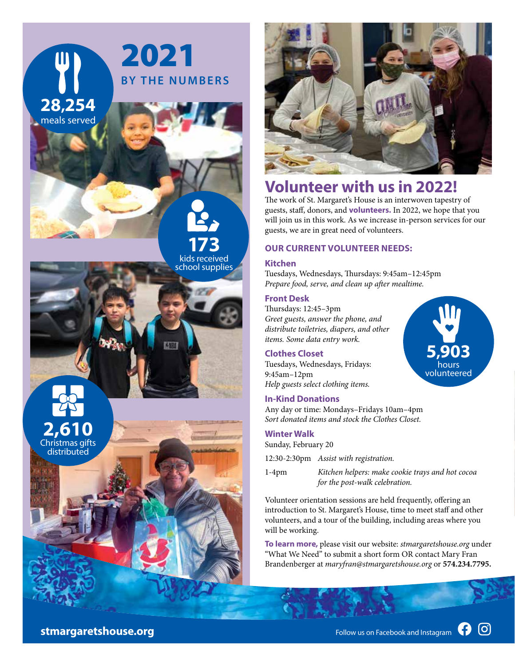



## **Volunteer with us in 2022!**

The work of St. Margaret's House is an interwoven tapestry of guests, staff, donors, and **volunteers.** In 2022, we hope that you will join us in this work. As we increase in-person services for our guests, we are in great need of volunteers.

#### **OUR CURRENT VOLUNTEER NEEDS:**

#### **Kitchen**

Tuesdays, Wednesdays, Thursdays: 9:45am–12:45pm *Prepare food, serve, and clean up after mealtime.*

#### **Front Desk**

Thursdays: 12:45–3pm *Greet guests, answer the phone, and distribute toiletries, diapers, and other items. Some data entry work.*

#### **Clothes Closet**

Tuesdays, Wednesdays, Fridays: 9:45am–12pm *Help guests select clothing items.*

#### **In-Kind Donations**

Any day or time: Mondays–Fridays 10am–4pm *Sort donated items and stock the Clothes Closet.*

#### **Winter Walk**

Sunday, February 20

12:30-2:30pm *Assist with registration.*

1-4pm *Kitchen helpers: make cookie trays and hot cocoa for the post-walk celebration.*

Volunteer orientation sessions are held frequently, offering an introduction to St. Margaret's House, time to meet staff and other volunteers, and a tour of the building, including areas where you will be working.

**To learn more,** please visit our website: *stmargaretshouse.org* under "What We Need" to submit a short form OR contact Mary Fran Brandenberger at *maryfran@stmargaretshouse.org* or **574.234.7795.**

**stmargaretshouse.org** Follow us on Facebook and Instagram **C** 

**[O]** 

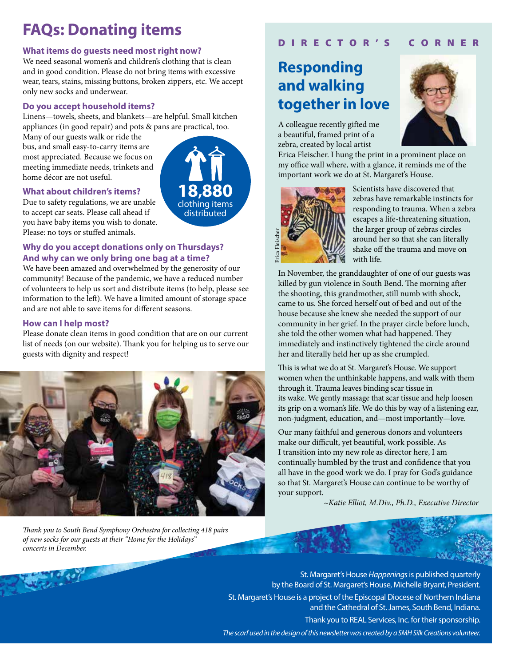# **FAQs: Donating items**

#### **What items do guests need most right now?**

We need seasonal women's and children's clothing that is clean and in good condition. Please do not bring items with excessive wear, tears, stains, missing buttons, broken zippers, etc. We accept only new socks and underwear.

#### **Do you accept household items?**

Linens—towels, sheets, and blankets—are helpful. Small kitchen appliances (in good repair) and pots & pans are practical, too.

Many of our guests walk or ride the bus, and small easy-to-carry items are most appreciated. Because we focus on meeting immediate needs, trinkets and home décor are not useful.



#### **What about children's items?**

Due to safety regulations, we are unable to accept car seats. Please call ahead if you have baby items you wish to donate. Please: no toys or stuffed animals.

#### **Why do you accept donations only on Thursdays? And why can we only bring one bag at a time?**

We have been amazed and overwhelmed by the generosity of our community! Because of the pandemic, we have a reduced number of volunteers to help us sort and distribute items (to help, please see information to the left). We have a limited amount of storage space and are not able to save items for different seasons.

#### **How can I help most?**

Please donate clean items in good condition that are on our current list of needs (on our website). Thank you for helping us to serve our guests with dignity and respect!



*Thank you to South Bend Symphony Orchestra for collecting 418 pairs of new socks for our guests at their "Home for the Holidays" concerts in December.* 

### D I R E C T O R ' S C O R N E R

## **Responding and walking together in love**

A colleague recently gifted me a beautiful, framed print of a zebra, created by local artist



Erica Fleischer. I hung the print in a prominent place on my office wall where, with a glance, it reminds me of the important work we do at St. Margaret's House.



Scientists have discovered that zebras have remarkable instincts for responding to trauma. When a zebra escapes a life-threatening situation, the larger group of zebras circles around her so that she can literally shake off the trauma and move on with life.

In November, the granddaughter of one of our guests was killed by gun violence in South Bend. The morning after the shooting, this grandmother, still numb with shock, came to us. She forced herself out of bed and out of the house because she knew she needed the support of our community in her grief. In the prayer circle before lunch, she told the other women what had happened. They immediately and instinctively tightened the circle around her and literally held her up as she crumpled.

This is what we do at St. Margaret's House. We support women when the unthinkable happens, and walk with them through it. Trauma leaves binding scar tissue in its wake. We gently massage that scar tissue and help loosen its grip on a woman's life. We do this by way of a listening ear, non-judgment, education, and—most importantly—love.

Our many faithful and generous donors and volunteers make our difficult, yet beautiful, work possible. As I transition into my new role as director here, I am continually humbled by the trust and confidence that you all have in the good work we do. I pray for God's guidance so that St. Margaret's House can continue to be worthy of your support.

*~Katie Elliot, M.Div., Ph.D., Executive Director*

St. Margaret's House *Happenings* is published quarterly by the Board of St. Margaret's House, Michelle Bryant, President. St. Margaret's House is a project of the Episcopal Diocese of Northern Indiana and the Cathedral of St. James, South Bend, Indiana. Thank you to REAL Services, Inc. for their sponsorship. The scarf used in the design of this newsletter was created by a SMH Silk Creations volunteer.